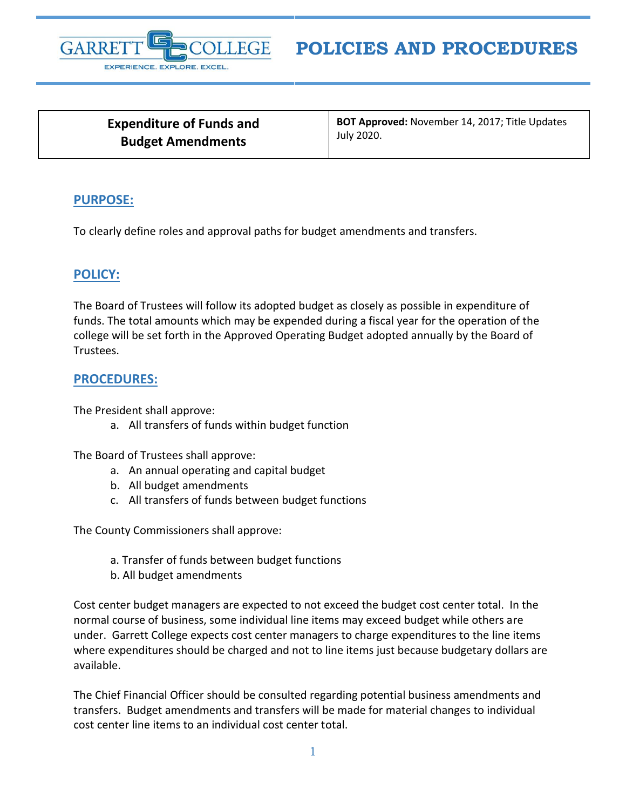

# **POLICIES AND PROCEDURES**

**Expenditure of Funds and Budget Amendments**

**BOT Approved:** November 14, 2017; Title Updates July 2020.

#### **PURPOSE:**

To clearly define roles and approval paths for budget amendments and transfers.

### **POLICY:**

The Board of Trustees will follow its adopted budget as closely as possible in expenditure of funds. The total amounts which may be expended during a fiscal year for the operation of the college will be set forth in the Approved Operating Budget adopted annually by the Board of Trustees.

### **PROCEDURES:**

The President shall approve:

a. All transfers of funds within budget function

The Board of Trustees shall approve:

- a. An annual operating and capital budget
- b. All budget amendments
- c. All transfers of funds between budget functions

The County Commissioners shall approve:

- a. Transfer of funds between budget functions
- b. All budget amendments

Cost center budget managers are expected to not exceed the budget cost center total. In the normal course of business, some individual line items may exceed budget while others are under. Garrett College expects cost center managers to charge expenditures to the line items where expenditures should be charged and not to line items just because budgetary dollars are available.

The Chief Financial Officer should be consulted regarding potential business amendments and transfers. Budget amendments and transfers will be made for material changes to individual cost center line items to an individual cost center total.